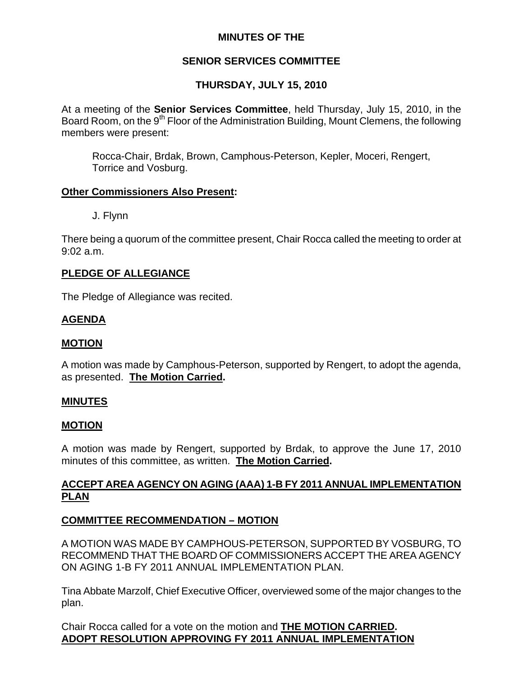# **MINUTES OF THE**

# **SENIOR SERVICES COMMITTEE**

# **THURSDAY, JULY 15, 2010**

At a meeting of the **Senior Services Committee**, held Thursday, July 15, 2010, in the Board Room, on the 9<sup>th</sup> Floor of the Administration Building, Mount Clemens, the following members were present:

Rocca-Chair, Brdak, Brown, Camphous-Peterson, Kepler, Moceri, Rengert, Torrice and Vosburg.

### **Other Commissioners Also Present:**

J. Flynn

There being a quorum of the committee present, Chair Rocca called the meeting to order at 9:02 a.m.

## **PLEDGE OF ALLEGIANCE**

The Pledge of Allegiance was recited.

## **AGENDA**

#### **MOTION**

A motion was made by Camphous-Peterson, supported by Rengert, to adopt the agenda, as presented. **The Motion Carried.** 

#### **MINUTES**

#### **MOTION**

A motion was made by Rengert, supported by Brdak, to approve the June 17, 2010 minutes of this committee, as written. **The Motion Carried.** 

# **ACCEPT AREA AGENCY ON AGING (AAA) 1-B FY 2011 ANNUAL IMPLEMENTATION PLAN**

## **COMMITTEE RECOMMENDATION – MOTION**

A MOTION WAS MADE BY CAMPHOUS-PETERSON, SUPPORTED BY VOSBURG, TO RECOMMEND THAT THE BOARD OF COMMISSIONERS ACCEPT THE AREA AGENCY ON AGING 1-B FY 2011 ANNUAL IMPLEMENTATION PLAN.

Tina Abbate Marzolf, Chief Executive Officer, overviewed some of the major changes to the plan.

Chair Rocca called for a vote on the motion and **THE MOTION CARRIED. ADOPT RESOLUTION APPROVING FY 2011 ANNUAL IMPLEMENTATION**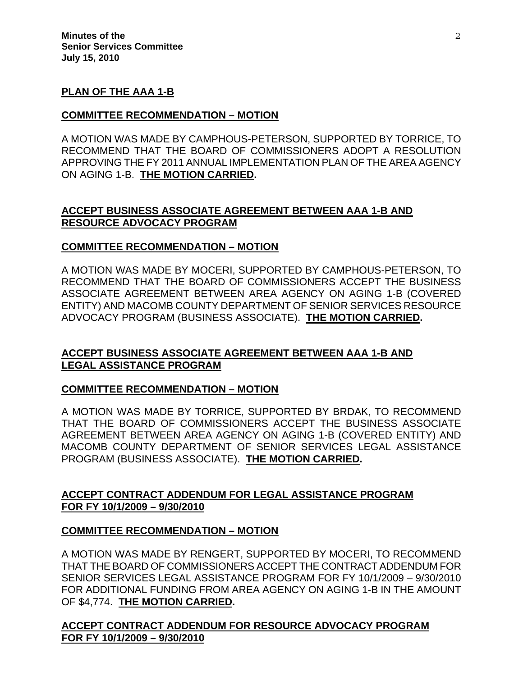### **PLAN OF THE AAA 1-B**

### **COMMITTEE RECOMMENDATION – MOTION**

A MOTION WAS MADE BY CAMPHOUS-PETERSON, SUPPORTED BY TORRICE, TO RECOMMEND THAT THE BOARD OF COMMISSIONERS ADOPT A RESOLUTION APPROVING THE FY 2011 ANNUAL IMPLEMENTATION PLAN OF THE AREA AGENCY ON AGING 1-B. **THE MOTION CARRIED.** 

## **ACCEPT BUSINESS ASSOCIATE AGREEMENT BETWEEN AAA 1-B AND RESOURCE ADVOCACY PROGRAM**

### **COMMITTEE RECOMMENDATION – MOTION**

A MOTION WAS MADE BY MOCERI, SUPPORTED BY CAMPHOUS-PETERSON, TO RECOMMEND THAT THE BOARD OF COMMISSIONERS ACCEPT THE BUSINESS ASSOCIATE AGREEMENT BETWEEN AREA AGENCY ON AGING 1-B (COVERED ENTITY) AND MACOMB COUNTY DEPARTMENT OF SENIOR SERVICES RESOURCE ADVOCACY PROGRAM (BUSINESS ASSOCIATE). **THE MOTION CARRIED.** 

# **ACCEPT BUSINESS ASSOCIATE AGREEMENT BETWEEN AAA 1-B AND LEGAL ASSISTANCE PROGRAM**

#### **COMMITTEE RECOMMENDATION – MOTION**

A MOTION WAS MADE BY TORRICE, SUPPORTED BY BRDAK, TO RECOMMEND THAT THE BOARD OF COMMISSIONERS ACCEPT THE BUSINESS ASSOCIATE AGREEMENT BETWEEN AREA AGENCY ON AGING 1-B (COVERED ENTITY) AND MACOMB COUNTY DEPARTMENT OF SENIOR SERVICES LEGAL ASSISTANCE PROGRAM (BUSINESS ASSOCIATE). **THE MOTION CARRIED.** 

## **ACCEPT CONTRACT ADDENDUM FOR LEGAL ASSISTANCE PROGRAM FOR FY 10/1/2009 – 9/30/2010**

## **COMMITTEE RECOMMENDATION – MOTION**

A MOTION WAS MADE BY RENGERT, SUPPORTED BY MOCERI, TO RECOMMEND THAT THE BOARD OF COMMISSIONERS ACCEPT THE CONTRACT ADDENDUM FOR SENIOR SERVICES LEGAL ASSISTANCE PROGRAM FOR FY 10/1/2009 – 9/30/2010 FOR ADDITIONAL FUNDING FROM AREA AGENCY ON AGING 1-B IN THE AMOUNT OF \$4,774. **THE MOTION CARRIED.** 

**ACCEPT CONTRACT ADDENDUM FOR RESOURCE ADVOCACY PROGRAM FOR FY 10/1/2009 – 9/30/2010**